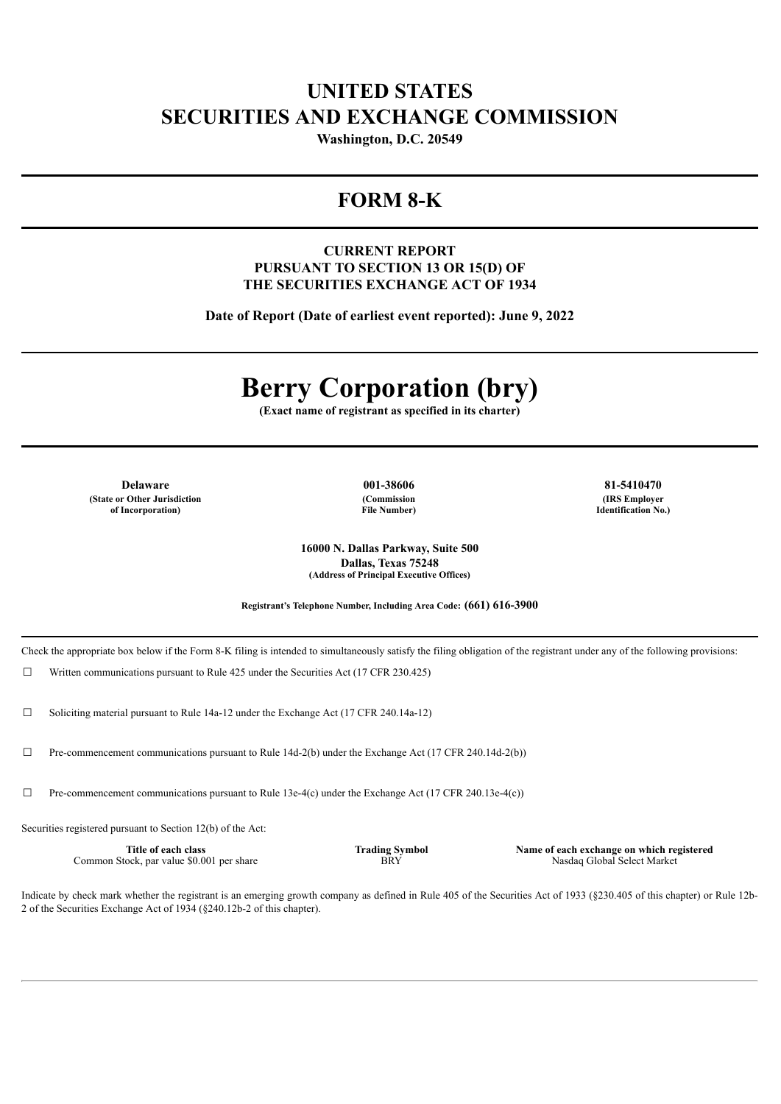# **UNITED STATES SECURITIES AND EXCHANGE COMMISSION**

**Washington, D.C. 20549**

# **FORM 8-K**

## **CURRENT REPORT PURSUANT TO SECTION 13 OR 15(D) OF THE SECURITIES EXCHANGE ACT OF 1934**

**Date of Report (Date of earliest event reported): June 9, 2022**

# **Berry Corporation (bry)**

**(Exact name of registrant as specified in its charter)**

**Delaware 001-38606 81-5410470 (State or Other Jurisdiction of Incorporation)**

**(Commission File Number)**

**(IRS Employer Identification No.)**

**16000 N. Dallas Parkway, Suite 500 Dallas, Texas 75248 (Address of Principal Executive Offices)**

**Registrant's Telephone Number, Including Area Code: (661) 616-3900**

Check the appropriate box below if the Form 8-K filing is intended to simultaneously satisfy the filing obligation of the registrant under any of the following provisions:

 $\Box$  Written communications pursuant to Rule 425 under the Securities Act (17 CFR 230.425)

☐ Soliciting material pursuant to Rule 14a-12 under the Exchange Act (17 CFR 240.14a-12)

☐ Pre-commencement communications pursuant to Rule 14d-2(b) under the Exchange Act (17 CFR 240.14d-2(b))

☐ Pre-commencement communications pursuant to Rule 13e-4(c) under the Exchange Act (17 CFR 240.13e-4(c))

Securities registered pursuant to Section 12(b) of the Act:

**Title of each class** Common Stock, par value \$0.001 per share **Trading Symbol BRY** 

**Name of each exchange on which registered** Nasdaq Global Select Market

Indicate by check mark whether the registrant is an emerging growth company as defined in Rule 405 of the Securities Act of 1933 (§230.405 of this chapter) or Rule 12b-2 of the Securities Exchange Act of 1934 (§240.12b-2 of this chapter).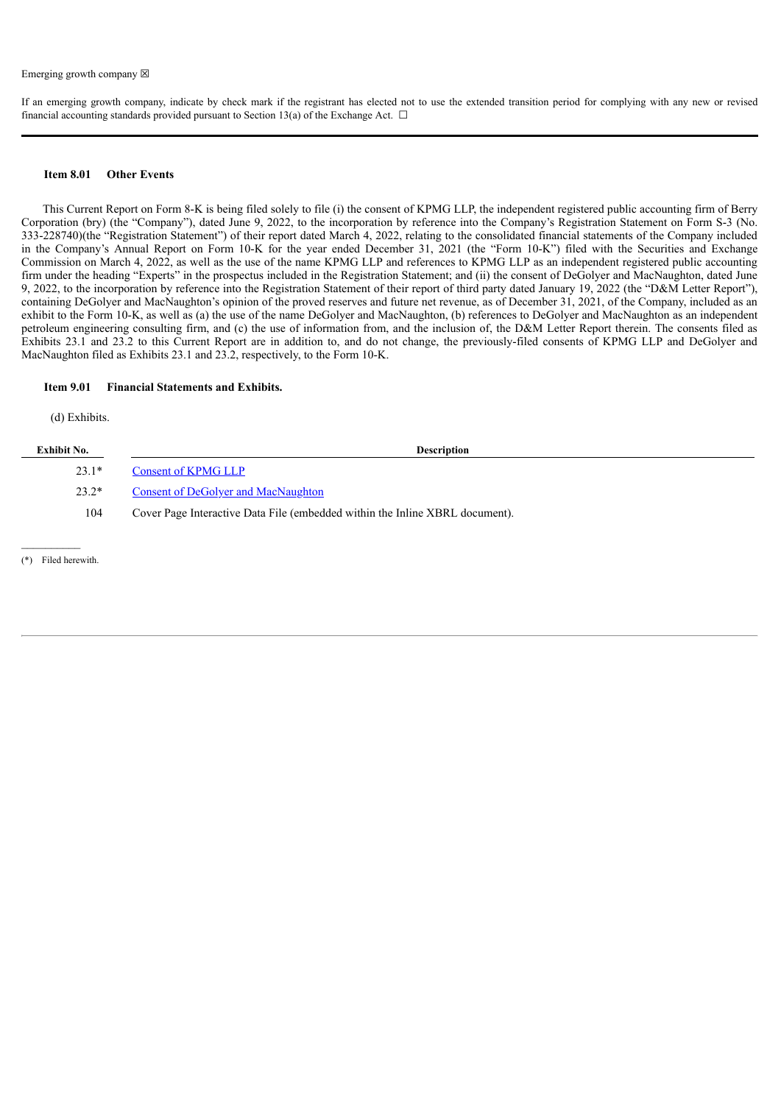If an emerging growth company, indicate by check mark if the registrant has elected not to use the extended transition period for complying with any new or revised financial accounting standards provided pursuant to Section 13(a) of the Exchange Act.  $\Box$ 

#### **Item 8.01 Other Events**

This Current Report on Form 8-K is being filed solely to file (i) the consent of KPMG LLP, the independent registered public accounting firm of Berry Corporation (bry) (the "Company"), dated June 9, 2022, to the incorporation by reference into the Company's Registration Statement on Form S-3 (No. 333-228740)(the "Registration Statement") of their report dated March 4, 2022, relating to the consolidated financial statements of the Company included in the Company's Annual Report on Form 10-K for the year ended December 31, 2021 (the "Form 10-K") filed with the Securities and Exchange Commission on March 4, 2022, as well as the use of the name KPMG LLP and references to KPMG LLP as an independent registered public accounting firm under the heading "Experts" in the prospectus included in the Registration Statement; and (ii) the consent of DeGolyer and MacNaughton, dated June 9, 2022, to the incorporation by reference into the Registration Statement of their report of third party dated January 19, 2022 (the "D&M Letter Report"), containing DeGolyer and MacNaughton's opinion of the proved reserves and future net revenue, as of December 31, 2021, of the Company, included as an exhibit to the Form 10-K, as well as (a) the use of the name DeGolyer and MacNaughton, (b) references to DeGolyer and MacNaughton as an independent petroleum engineering consulting firm, and (c) the use of information from, and the inclusion of, the D&M Letter Report therein. The consents filed as Exhibits 23.1 and 23.2 to this Current Report are in addition to, and do not change, the previously-filed consents of KPMG LLP and DeGolyer and MacNaughton filed as Exhibits 23.1 and 23.2, respectively, to the Form 10-K.

#### **Item 9.01 Financial Statements and Exhibits.**

(d) Exhibits.

| Exhibit No. | <b>Description</b>                                                           |
|-------------|------------------------------------------------------------------------------|
| $23.1*$     | <b>Consent of KPMG LLP</b>                                                   |
| $23.2*$     | Consent of DeGolyer and MacNaughton                                          |
| 104         | Cover Page Interactive Data File (embedded within the Inline XBRL document). |
|             |                                                                              |

(\*) Filed herewith.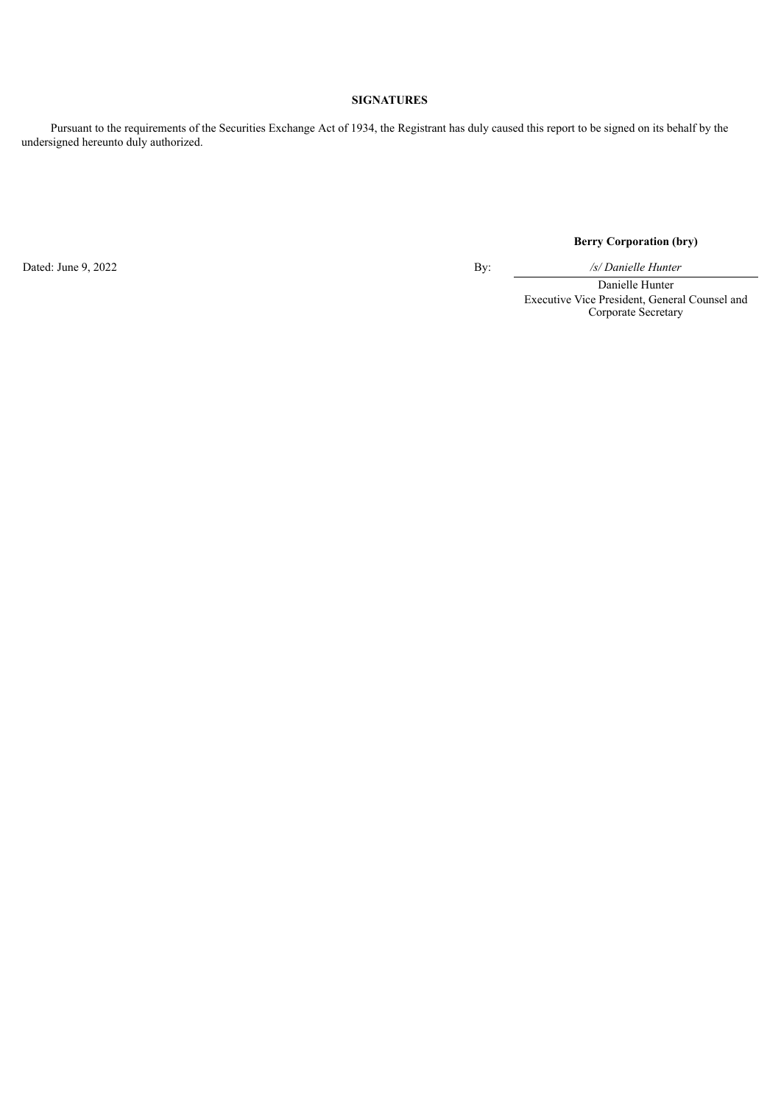## **SIGNATURES**

Pursuant to the requirements of the Securities Exchange Act of 1934, the Registrant has duly caused this report to be signed on its behalf by the undersigned hereunto duly authorized.

Dated: June 9, 2022 By: */s/ Danielle Hunter*

**Berry Corporation (bry)**

Danielle Hunter Executive Vice President, General Counsel and Corporate Secretary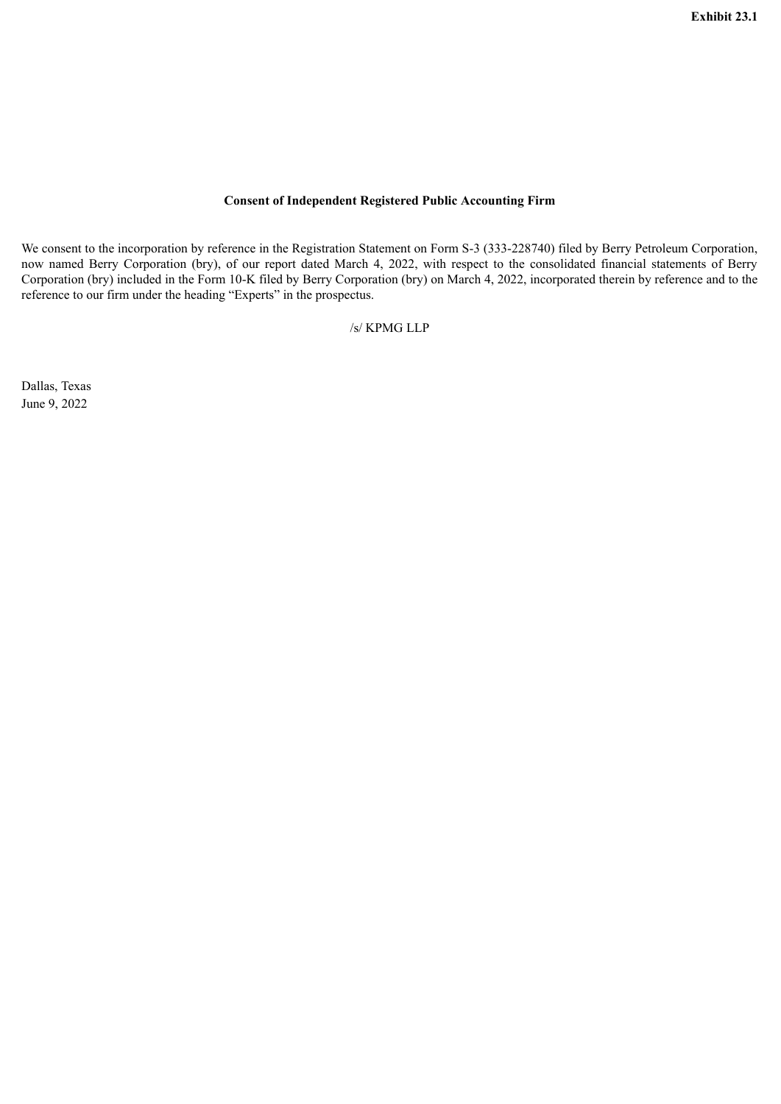## **Consent of Independent Registered Public Accounting Firm**

<span id="page-3-0"></span>We consent to the incorporation by reference in the Registration Statement on Form S-3 (333-228740) filed by Berry Petroleum Corporation, now named Berry Corporation (bry), of our report dated March 4, 2022, with respect to the consolidated financial statements of Berry Corporation (bry) included in the Form 10-K filed by Berry Corporation (bry) on March 4, 2022, incorporated therein by reference and to the reference to our firm under the heading "Experts" in the prospectus.

/s/ KPMG LLP

Dallas, Texas June 9, 2022